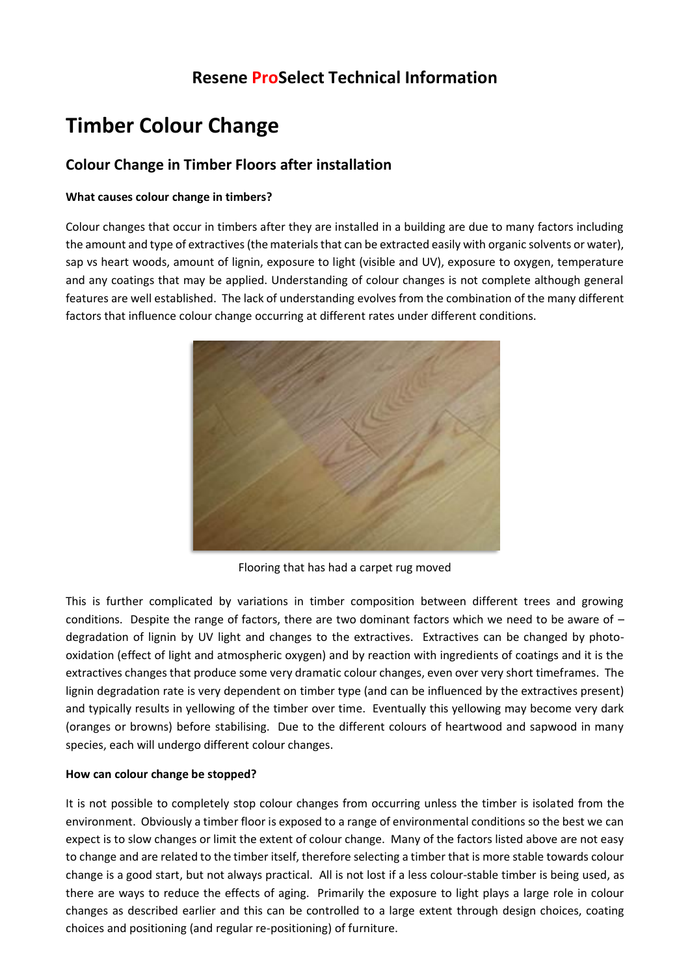# **Resene ProSelect Technical Information**

# **Timber Colour Change**

# **Colour Change in Timber Floors after installation**

# **What causes colour change in timbers?**

Colour changes that occur in timbers after they are installed in a building are due to many factors including the amount and type of extractives (the materials that can be extracted easily with organic solvents or water), sap vs heart woods, amount of lignin, exposure to light (visible and UV), exposure to oxygen, temperature and any coatings that may be applied. Understanding of colour changes is not complete although general features are well established. The lack of understanding evolves from the combination of the many different factors that influence colour change occurring at different rates under different conditions.



Flooring that has had a carpet rug moved

This is further complicated by variations in timber composition between different trees and growing conditions. Despite the range of factors, there are two dominant factors which we need to be aware of  $$ degradation of lignin by UV light and changes to the extractives. Extractives can be changed by photooxidation (effect of light and atmospheric oxygen) and by reaction with ingredients of coatings and it is the extractives changes that produce some very dramatic colour changes, even over very short timeframes. The lignin degradation rate is very dependent on timber type (and can be influenced by the extractives present) and typically results in yellowing of the timber over time. Eventually this yellowing may become very dark (oranges or browns) before stabilising. Due to the different colours of heartwood and sapwood in many species, each will undergo different colour changes.

# **How can colour change be stopped?**

It is not possible to completely stop colour changes from occurring unless the timber is isolated from the environment. Obviously a timber floor is exposed to a range of environmental conditions so the best we can expect is to slow changes or limit the extent of colour change. Many of the factors listed above are not easy to change and are related to the timber itself, therefore selecting a timber that is more stable towards colour change is a good start, but not always practical. All is not lost if a less colour-stable timber is being used, as there are ways to reduce the effects of aging. Primarily the exposure to light plays a large role in colour changes as described earlier and this can be controlled to a large extent through design choices, coating choices and positioning (and regular re-positioning) of furniture.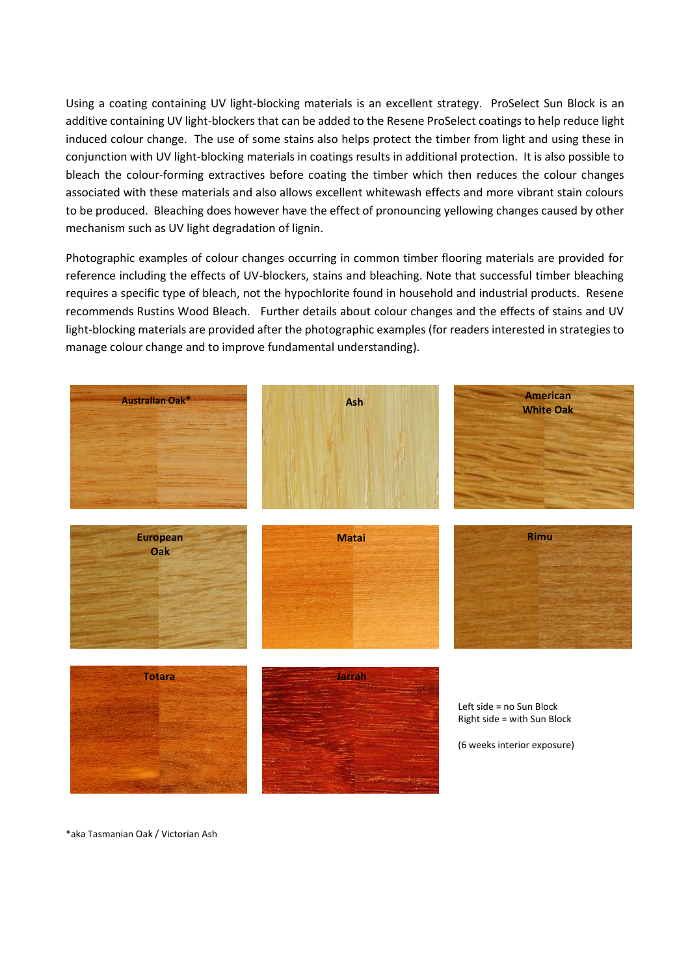Using a coating containing UV light-blocking materials is an excellent strategy. ProSelect Sun Block is an additive containing UV light-blockers that can be added to the Resene ProSelect coatings to help reduce light induced colour change. The use of some stains also helps protect the timber from light and using these in conjunction with UV light-blocking materials in coatings results in additional protection. It is also possible to bleach the colour-forming extractives before coating the timber which then reduces the colour changes associated with these materials and also allows excellent whitewash effects and more vibrant stain colours to be produced. Bleaching does however have the effect of pronouncing yellowing changes caused by other mechanism such as UV light degradation of lignin.

Photographic examples of colour changes occurring in common timber flooring materials are provided for reference including the effects of UV-blockers, stains and bleaching. Note that successful timber bleaching requires a specific type of bleach, not the hypochlorite found in household and industrial products. Resene recommends Rustins Wood Bleach. Further details about colour changes and the effects of stains and UV light-blocking materials are provided after the photographic examples (for readers interested in strategies to manage colour change and to improve fundamental understanding).



\*aka Tasmanian Oak / Victorian Ash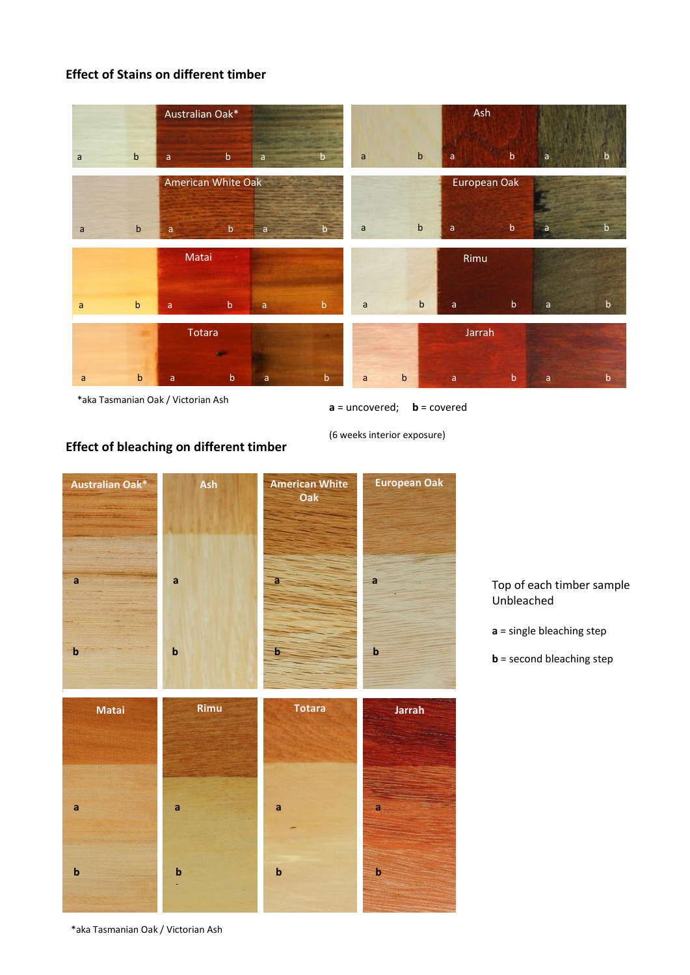# **Effect of Stains on different timber**

|              |             | Australian Oak*    |                         |             |              | Ash          |              |             |              |             |
|--------------|-------------|--------------------|-------------------------|-------------|--------------|--------------|--------------|-------------|--------------|-------------|
| $\mathsf{a}$ | $\mathsf b$ | a                  | $\mathsf b$<br>a        | b           | $\mathsf{a}$ | $\mathbf b$  | $\mathsf{a}$ | $\mathsf b$ | $\mathsf{a}$ | b           |
|              |             | American White Oak |                         |             |              | European Oak |              |             |              |             |
| $\mathsf{a}$ | $\mathsf b$ | a                  | $\mathbf b$<br>a        | b.          | a            | $\mathsf b$  | a            | $\mathsf b$ | $\mathsf{a}$ | b           |
|              |             | Matai              |                         |             |              |              | Rimu         |             |              |             |
| $\mathsf{a}$ | $\mathbf b$ | a                  | $\mathsf b$<br>a        | $\mathbf b$ | $\mathsf{a}$ | $\mathbf b$  | $\mathsf{a}$ | $\sf b$     | $\mathsf{a}$ | $\mathsf b$ |
|              |             | Totara             |                         |             |              |              | Jarrah       |             |              |             |
| a            | $\mathbf b$ | a                  | $\sf b$<br>$\mathsf{a}$ | $\mathsf b$ | a            | $\mathbf b$  | $\mathsf{a}$ | $\sf b$     | $\mathsf{a}$ | $\mathbf b$ |

\*aka Tasmanian Oak / Victorian Ash

**Effect of bleaching on different timber**

**a** = uncovered; **b** = covered

(6 weeks interior exposure)



Top of each timber sample Unbleached

**a** = single bleaching step

**b** = second bleaching step

\*aka Tasmanian Oak / Victorian Ash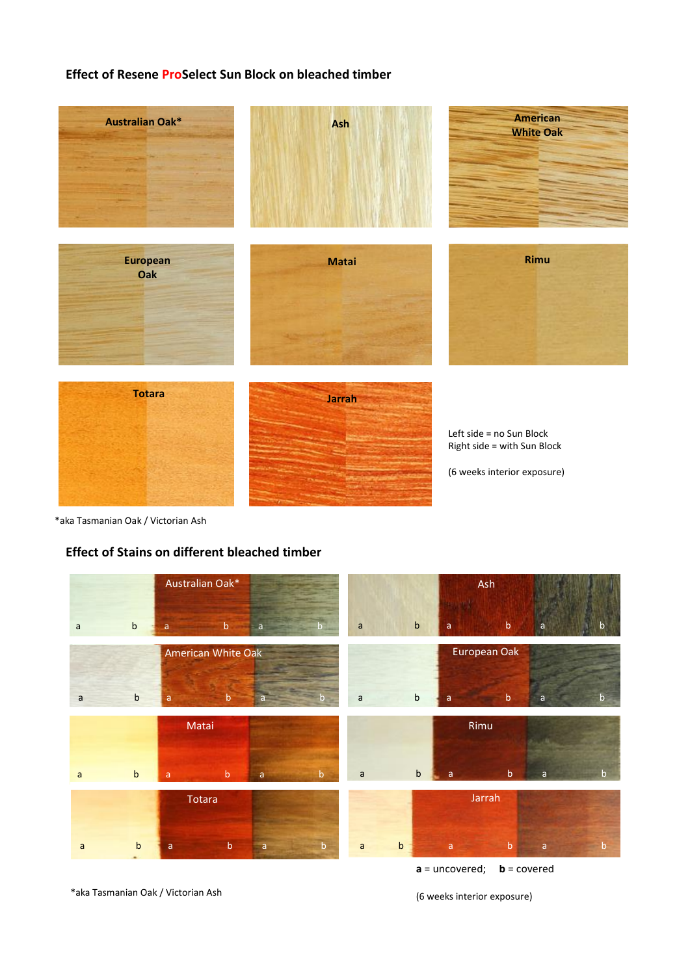# **Effect of Resene ProSelect Sun Block on bleached timber**



\*aka Tasmanian Oak / Victorian Ash

# **Effect of Stains on different bleached timber**

|              |                                   | Australian Oak*    | Ash                         |              |              |              |             |              |              |
|--------------|-----------------------------------|--------------------|-----------------------------|--------------|--------------|--------------|-------------|--------------|--------------|
| $\mathsf{a}$ | $\mathsf b$                       | $\sf b$<br>a       | a                           | $\mathsf{a}$ | $\mathsf b$  | a            | $\mathsf b$ | $\mathsf{a}$ | b            |
|              |                                   | American White Oak | European Oak                |              |              |              |             |              |              |
| $\mathsf{a}$ | $\mathsf b$                       | $\mathbf b$<br>a   |                             | $\mathsf{a}$ | $\sf b$      | a            | $\mathbf b$ | $\mathsf{a}$ | $\mathsf{b}$ |
|              |                                   | Matai              | Rimu                        |              |              |              |             |              |              |
| $\mathsf{a}$ | b                                 | $\mathbf b$<br>a   | $\mathbf b$<br>$\mathsf{a}$ | $\mathsf{a}$ | $\sf b$      | a            | $\mathsf b$ | $\mathsf{a}$ | $\mathsf{b}$ |
|              |                                   | Totara             | Jarrah                      |              |              |              |             |              |              |
| $\mathsf{a}$ | $\mathsf b$                       | $\mathsf b$<br>a   | $\mathbf b$<br>$\mathsf{a}$ | $\mathsf{a}$ | $\mathsf{b}$ | $\mathsf{a}$ | $\mathbf b$ | $\mathsf{a}$ | $\mathbf b$  |
|              | $a =$ uncovered;<br>$b = covered$ |                    |                             |              |              |              |             |              |              |

\*aka Tasmanian Oak / Victorian Ash

(6 weeks interior exposure)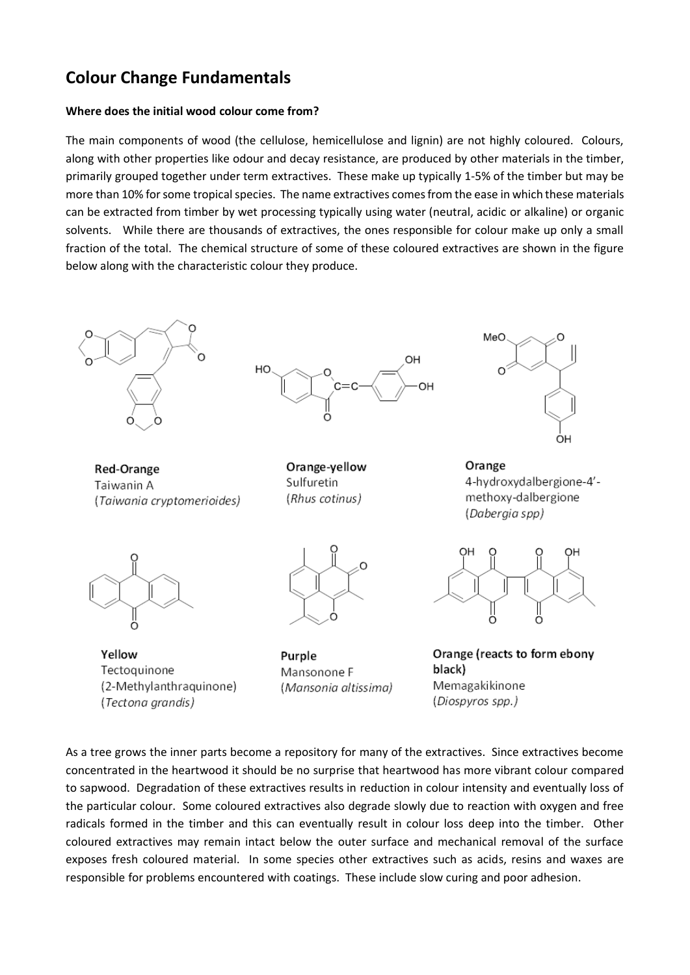# **Colour Change Fundamentals**

### **Where does the initial wood colour come from?**

The main components of wood (the cellulose, hemicellulose and lignin) are not highly coloured. Colours, along with other properties like odour and decay resistance, are produced by other materials in the timber, primarily grouped together under term extractives. These make up typically 1-5% of the timber but may be more than 10% for some tropical species. The name extractives comes from the ease in which these materials can be extracted from timber by wet processing typically using water (neutral, acidic or alkaline) or organic solvents. While there are thousands of extractives, the ones responsible for colour make up only a small fraction of the total. The chemical structure of some of these coloured extractives are shown in the figure below along with the characteristic colour they produce.



As a tree grows the inner parts become a repository for many of the extractives. Since extractives become concentrated in the heartwood it should be no surprise that heartwood has more vibrant colour compared to sapwood. Degradation of these extractives results in reduction in colour intensity and eventually loss of the particular colour. Some coloured extractives also degrade slowly due to reaction with oxygen and free radicals formed in the timber and this can eventually result in colour loss deep into the timber. Other coloured extractives may remain intact below the outer surface and mechanical removal of the surface exposes fresh coloured material. In some species other extractives such as acids, resins and waxes are responsible for problems encountered with coatings. These include slow curing and poor adhesion.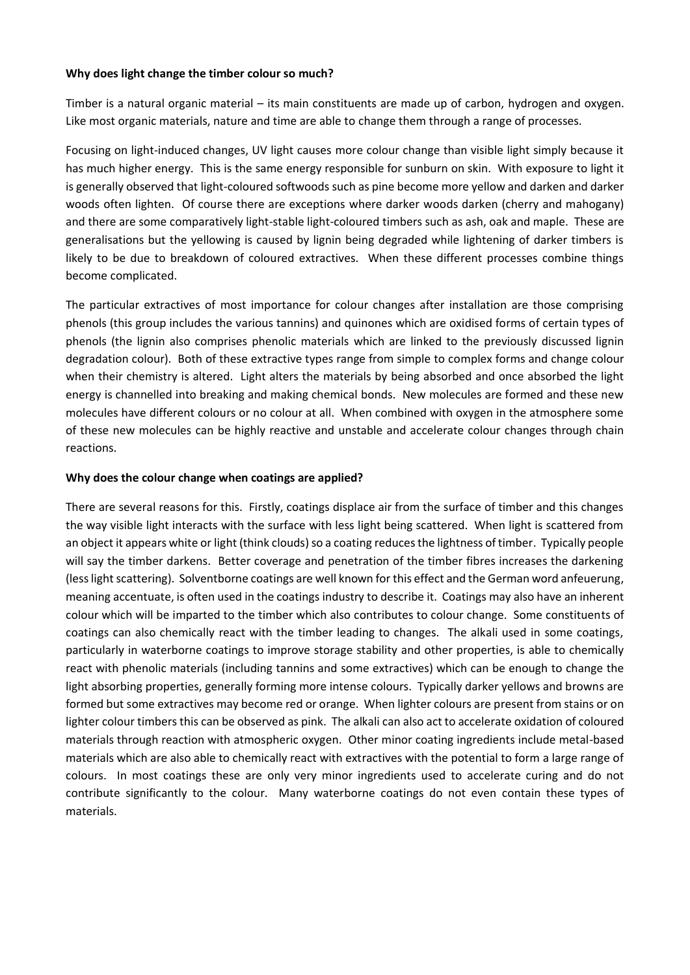#### **Why does light change the timber colour so much?**

Timber is a natural organic material – its main constituents are made up of carbon, hydrogen and oxygen. Like most organic materials, nature and time are able to change them through a range of processes.

Focusing on light-induced changes, UV light causes more colour change than visible light simply because it has much higher energy. This is the same energy responsible for sunburn on skin. With exposure to light it is generally observed that light-coloured softwoods such as pine become more yellow and darken and darker woods often lighten. Of course there are exceptions where darker woods darken (cherry and mahogany) and there are some comparatively light-stable light-coloured timbers such as ash, oak and maple. These are generalisations but the yellowing is caused by lignin being degraded while lightening of darker timbers is likely to be due to breakdown of coloured extractives. When these different processes combine things become complicated.

The particular extractives of most importance for colour changes after installation are those comprising phenols (this group includes the various tannins) and quinones which are oxidised forms of certain types of phenols (the lignin also comprises phenolic materials which are linked to the previously discussed lignin degradation colour). Both of these extractive types range from simple to complex forms and change colour when their chemistry is altered. Light alters the materials by being absorbed and once absorbed the light energy is channelled into breaking and making chemical bonds. New molecules are formed and these new molecules have different colours or no colour at all. When combined with oxygen in the atmosphere some of these new molecules can be highly reactive and unstable and accelerate colour changes through chain reactions.

#### **Why does the colour change when coatings are applied?**

There are several reasons for this. Firstly, coatings displace air from the surface of timber and this changes the way visible light interacts with the surface with less light being scattered. When light is scattered from an object it appears white or light (think clouds) so a coating reduces the lightness of timber. Typically people will say the timber darkens. Better coverage and penetration of the timber fibres increases the darkening (less light scattering). Solventborne coatings are well known for this effect and the German word anfeuerung, meaning accentuate, is often used in the coatings industry to describe it. Coatings may also have an inherent colour which will be imparted to the timber which also contributes to colour change. Some constituents of coatings can also chemically react with the timber leading to changes. The alkali used in some coatings, particularly in waterborne coatings to improve storage stability and other properties, is able to chemically react with phenolic materials (including tannins and some extractives) which can be enough to change the light absorbing properties, generally forming more intense colours. Typically darker yellows and browns are formed but some extractives may become red or orange. When lighter colours are present from stains or on lighter colour timbers this can be observed as pink. The alkali can also act to accelerate oxidation of coloured materials through reaction with atmospheric oxygen. Other minor coating ingredients include metal-based materials which are also able to chemically react with extractives with the potential to form a large range of colours. In most coatings these are only very minor ingredients used to accelerate curing and do not contribute significantly to the colour. Many waterborne coatings do not even contain these types of materials.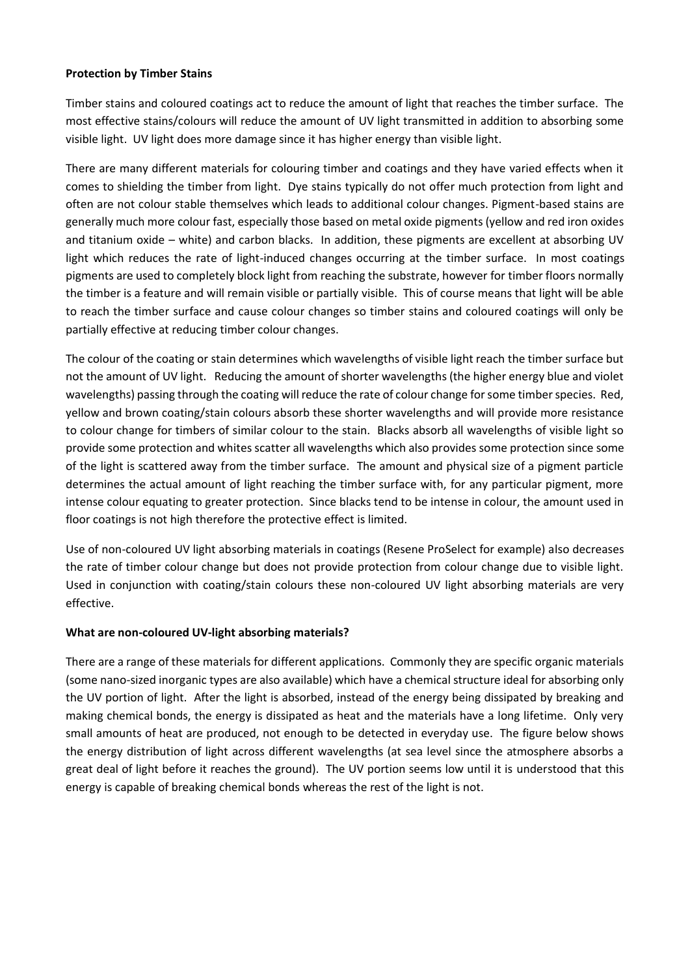### **Protection by Timber Stains**

Timber stains and coloured coatings act to reduce the amount of light that reaches the timber surface. The most effective stains/colours will reduce the amount of UV light transmitted in addition to absorbing some visible light. UV light does more damage since it has higher energy than visible light.

There are many different materials for colouring timber and coatings and they have varied effects when it comes to shielding the timber from light. Dye stains typically do not offer much protection from light and often are not colour stable themselves which leads to additional colour changes. Pigment-based stains are generally much more colour fast, especially those based on metal oxide pigments (yellow and red iron oxides and titanium oxide – white) and carbon blacks. In addition, these pigments are excellent at absorbing UV light which reduces the rate of light-induced changes occurring at the timber surface. In most coatings pigments are used to completely block light from reaching the substrate, however for timber floors normally the timber is a feature and will remain visible or partially visible. This of course means that light will be able to reach the timber surface and cause colour changes so timber stains and coloured coatings will only be partially effective at reducing timber colour changes.

The colour of the coating or stain determines which wavelengths of visible light reach the timber surface but not the amount of UV light. Reducing the amount of shorter wavelengths (the higher energy blue and violet wavelengths) passing through the coating will reduce the rate of colour change for some timber species. Red, yellow and brown coating/stain colours absorb these shorter wavelengths and will provide more resistance to colour change for timbers of similar colour to the stain. Blacks absorb all wavelengths of visible light so provide some protection and whites scatter all wavelengths which also provides some protection since some of the light is scattered away from the timber surface. The amount and physical size of a pigment particle determines the actual amount of light reaching the timber surface with, for any particular pigment, more intense colour equating to greater protection. Since blacks tend to be intense in colour, the amount used in floor coatings is not high therefore the protective effect is limited.

Use of non-coloured UV light absorbing materials in coatings (Resene ProSelect for example) also decreases the rate of timber colour change but does not provide protection from colour change due to visible light. Used in conjunction with coating/stain colours these non-coloured UV light absorbing materials are very effective.

# **What are non-coloured UV-light absorbing materials?**

There are a range of these materials for different applications. Commonly they are specific organic materials (some nano-sized inorganic types are also available) which have a chemical structure ideal for absorbing only the UV portion of light. After the light is absorbed, instead of the energy being dissipated by breaking and making chemical bonds, the energy is dissipated as heat and the materials have a long lifetime. Only very small amounts of heat are produced, not enough to be detected in everyday use. The figure below shows the energy distribution of light across different wavelengths (at sea level since the atmosphere absorbs a great deal of light before it reaches the ground). The UV portion seems low until it is understood that this energy is capable of breaking chemical bonds whereas the rest of the light is not.